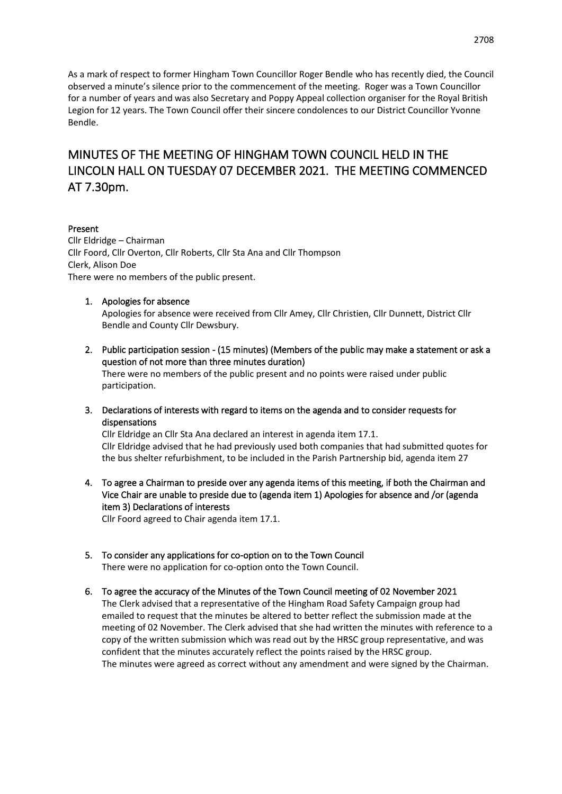As a mark of respect to former Hingham Town Councillor Roger Bendle who has recently died, the Council observed a minute's silence prior to the commencement of the meeting. Roger was a Town Councillor for a number of years and was also Secretary and Poppy Appeal collection organiser for the Royal British Legion for 12 years. The Town Council offer their sincere condolences to our District Councillor Yvonne Bendle.

# MINUTES OF THE MEETING OF HINGHAM TOWN COUNCIL HELD IN THE LINCOLN HALL ON TUESDAY 07 DECEMBER 2021. THE MEETING COMMENCED AT 7.30pm.

#### Present

Cllr Eldridge – Chairman Cllr Foord, Cllr Overton, Cllr Roberts, Cllr Sta Ana and Cllr Thompson Clerk, Alison Doe There were no members of the public present.

#### 1. Apologies for absence

Apologies for absence were received from Cllr Amey, Cllr Christien, Cllr Dunnett, District Cllr Bendle and County Cllr Dewsbury.

2. Public participation session - (15 minutes) (Members of the public may make a statement or ask a question of not more than three minutes duration)

There were no members of the public present and no points were raised under public participation.

3. Declarations of interests with regard to items on the agenda and to consider requests for dispensations

Cllr Eldridge an Cllr Sta Ana declared an interest in agenda item 17.1. Cllr Eldridge advised that he had previously used both companies that had submitted quotes for the bus shelter refurbishment, to be included in the Parish Partnership bid, agenda item 27

4. To agree a Chairman to preside over any agenda items of this meeting, if both the Chairman and Vice Chair are unable to preside due to (agenda item 1) Apologies for absence and /or (agenda item 3) Declarations of interests

Cllr Foord agreed to Chair agenda item 17.1.

- 5. To consider any applications for co-option on to the Town Council There were no application for co-option onto the Town Council.
- 6. To agree the accuracy of the Minutes of the Town Council meeting of 02 November 2021

The Clerk advised that a representative of the Hingham Road Safety Campaign group had emailed to request that the minutes be altered to better reflect the submission made at the meeting of 02 November. The Clerk advised that she had written the minutes with reference to a copy of the written submission which was read out by the HRSC group representative, and was confident that the minutes accurately reflect the points raised by the HRSC group. The minutes were agreed as correct without any amendment and were signed by the Chairman.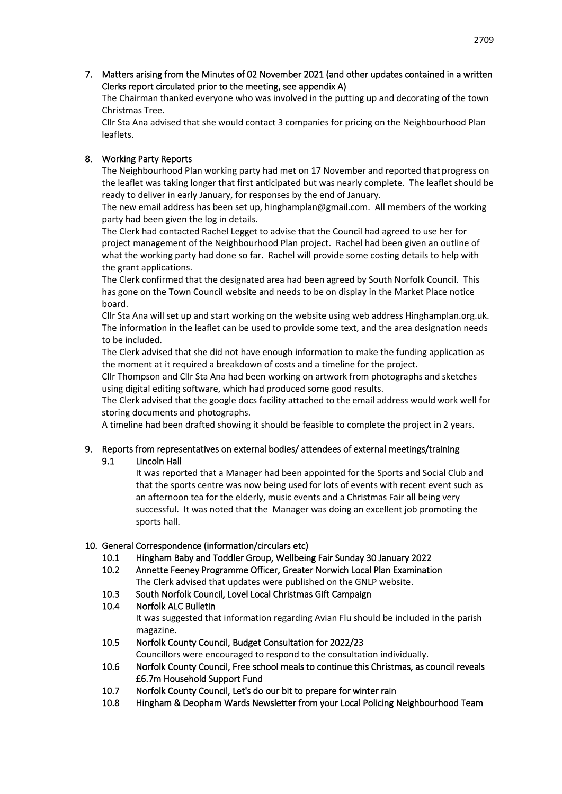7. Matters arising from the Minutes of 02 November 2021 (and other updates contained in a written Clerks report circulated prior to the meeting, see appendix A)

The Chairman thanked everyone who was involved in the putting up and decorating of the town Christmas Tree.

Cllr Sta Ana advised that she would contact 3 companies for pricing on the Neighbourhood Plan leaflets.

### 8. Working Party Reports

The Neighbourhood Plan working party had met on 17 November and reported that progress on the leaflet was taking longer that first anticipated but was nearly complete. The leaflet should be ready to deliver in early January, for responses by the end of January.

The new email address has been set up, hinghamplan@gmail.com. All members of the working party had been given the log in details.

The Clerk had contacted Rachel Legget to advise that the Council had agreed to use her for project management of the Neighbourhood Plan project. Rachel had been given an outline of what the working party had done so far. Rachel will provide some costing details to help with the grant applications.

The Clerk confirmed that the designated area had been agreed by South Norfolk Council. This has gone on the Town Council website and needs to be on display in the Market Place notice board.

Cllr Sta Ana will set up and start working on the website using web address Hinghamplan.org.uk. The information in the leaflet can be used to provide some text, and the area designation needs to be included.

The Clerk advised that she did not have enough information to make the funding application as the moment at it required a breakdown of costs and a timeline for the project.

Cllr Thompson and Cllr Sta Ana had been working on artwork from photographs and sketches using digital editing software, which had produced some good results.

The Clerk advised that the google docs facility attached to the email address would work well for storing documents and photographs.

A timeline had been drafted showing it should be feasible to complete the project in 2 years.

#### 9. Reports from representatives on external bodies/ attendees of external meetings/training 9.1 Lincoln Hall

It was reported that a Manager had been appointed for the Sports and Social Club and that the sports centre was now being used for lots of events with recent event such as an afternoon tea for the elderly, music events and a Christmas Fair all being very successful. It was noted that the Manager was doing an excellent job promoting the sports hall.

#### 10. General Correspondence (information/circulars etc)

- 10.1 Hingham Baby and Toddler Group, Wellbeing Fair Sunday 30 January 2022
- 10.2 Annette Feeney Programme Officer, Greater Norwich Local Plan Examination The Clerk advised that updates were published on the GNLP website.
- 10.3 South Norfolk Council, Lovel Local Christmas Gift Campaign
- 10.4 Norfolk ALC Bulletin It was suggested that information regarding Avian Flu should be included in the parish magazine.
- 10.5 Norfolk County Council, Budget Consultation for 2022/23 Councillors were encouraged to respond to the consultation individually.
- 10.6 Norfolk County Council, Free school meals to continue this Christmas, as council reveals £6.7m Household Support Fund
- 10.7 Norfolk County Council, Let's do our bit to prepare for winter rain
- 10.8 Hingham & Deopham Wards Newsletter from your Local Policing Neighbourhood Team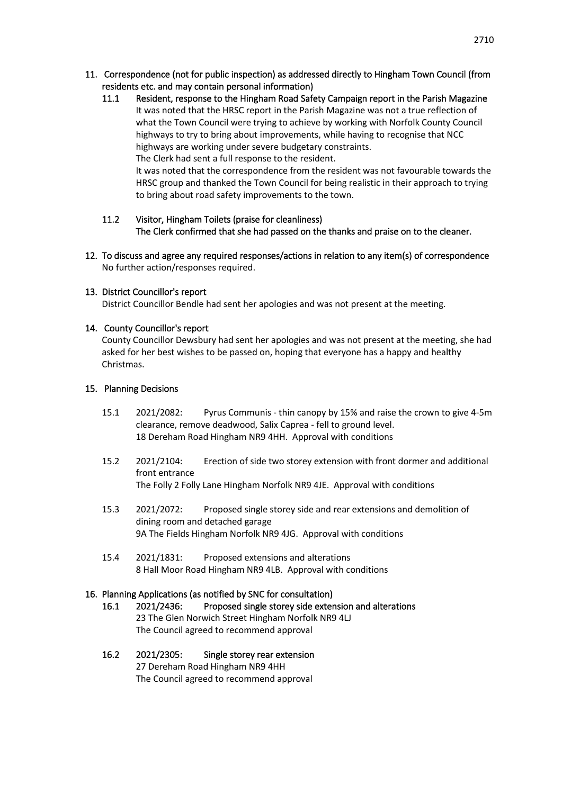- 11. Correspondence (not for public inspection) as addressed directly to Hingham Town Council (from residents etc. and may contain personal information)
	- 11.1 Resident, response to the Hingham Road Safety Campaign report in the Parish Magazine It was noted that the HRSC report in the Parish Magazine was not a true reflection of what the Town Council were trying to achieve by working with Norfolk County Council highways to try to bring about improvements, while having to recognise that NCC highways are working under severe budgetary constraints. The Clerk had sent a full response to the resident. It was noted that the correspondence from the resident was not favourable towards the HRSC group and thanked the Town Council for being realistic in their approach to trying to bring about road safety improvements to the town.

### 11.2 Visitor, Hingham Toilets (praise for cleanliness) The Clerk confirmed that she had passed on the thanks and praise on to the cleaner.

12. To discuss and agree any required responses/actions in relation to any item(s) of correspondence No further action/responses required.

#### 13. District Councillor's report

District Councillor Bendle had sent her apologies and was not present at the meeting.

#### 14. County Councillor's report

County Councillor Dewsbury had sent her apologies and was not present at the meeting, she had asked for her best wishes to be passed on, hoping that everyone has a happy and healthy Christmas.

#### 15. Planning Decisions

- 15.1 2021/2082: Pyrus Communis thin canopy by 15% and raise the crown to give 4-5m clearance, remove deadwood, Salix Caprea - fell to ground level. 18 Dereham Road Hingham NR9 4HH. Approval with conditions
- 15.2 2021/2104: Erection of side two storey extension with front dormer and additional front entrance The Folly 2 Folly Lane Hingham Norfolk NR9 4JE. Approval with conditions
- 15.3 2021/2072: Proposed single storey side and rear extensions and demolition of dining room and detached garage 9A The Fields Hingham Norfolk NR9 4JG. Approval with conditions
- 15.4 2021/1831: Proposed extensions and alterations 8 Hall Moor Road Hingham NR9 4LB. Approval with conditions

#### 16. Planning Applications (as notified by SNC for consultation)

- 16.1 2021/2436: Proposed single storey side extension and alterations 23 The Glen Norwich Street Hingham Norfolk NR9 4LJ The Council agreed to recommend approval
- 16.2 2021/2305: Single storey rear extension 27 Dereham Road Hingham NR9 4HH The Council agreed to recommend approval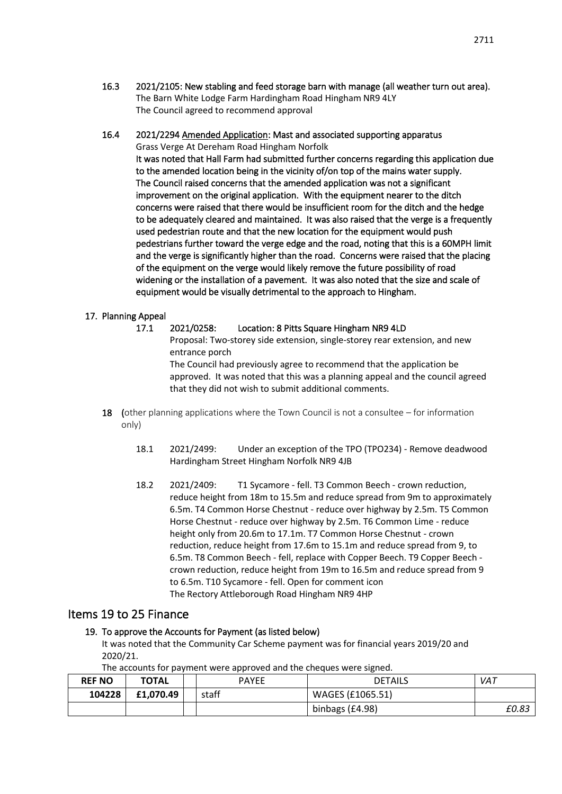- 16.3 2021/2105: New stabling and feed storage barn with manage (all weather turn out area). The Barn White Lodge Farm Hardingham Road Hingham NR9 4LY The Council agreed to recommend approval
- 16.4 2021/2294 Amended Application: Mast and associated supporting apparatus Grass Verge At Dereham Road Hingham Norfolk It was noted that Hall Farm had submitted further concerns regarding this application due to the amended location being in the vicinity of/on top of the mains water supply. The Council raised concerns that the amended application was not a significant improvement on the original application. With the equipment nearer to the ditch concerns were raised that there would be insufficient room for the ditch and the hedge to be adequately cleared and maintained. It was also raised that the verge is a frequently used pedestrian route and that the new location for the equipment would push pedestrians further toward the verge edge and the road, noting that this is a 60MPH limit and the verge is significantly higher than the road. Concerns were raised that the placing of the equipment on the verge would likely remove the future possibility of road widening or the installation of a pavement. It was also noted that the size and scale of equipment would be visually detrimental to the approach to Hingham.

#### 17. Planning Appeal

- 17.1 2021/0258: Location: 8 Pitts Square Hingham NR9 4LD Proposal: Two-storey side extension, single-storey rear extension, and new entrance porch The Council had previously agree to recommend that the application be approved. It was noted that this was a planning appeal and the council agreed that they did not wish to submit additional comments.
- 18 (other planning applications where the Town Council is not a consultee for information only)
	- 18.1 2021/2499: Under an exception of the TPO (TPO234) Remove deadwood Hardingham Street Hingham Norfolk NR9 4JB
	- 18.2 2021/2409: T1 Sycamore fell. T3 Common Beech crown reduction, reduce height from 18m to 15.5m and reduce spread from 9m to approximately 6.5m. T4 Common Horse Chestnut - reduce over highway by 2.5m. T5 Common Horse Chestnut - reduce over highway by 2.5m. T6 Common Lime - reduce height only from 20.6m to 17.1m. T7 Common Horse Chestnut - crown reduction, reduce height from 17.6m to 15.1m and reduce spread from 9, to 6.5m. T8 Common Beech - fell, replace with Copper Beech. T9 Copper Beech crown reduction, reduce height from 19m to 16.5m and reduce spread from 9 to 6.5m. T10 Sycamore - fell. Open for comment icon The Rectory Attleborough Road Hingham NR9 4HP

## Items 19 to 25 Finance

#### 19. To approve the Accounts for Payment (as listed below)

It was noted that the Community Car Scheme payment was for financial years 2019/20 and 2020/21.

The accounts for payment were approved and the cheques were signed.

| <b>REF NO</b> | <b>TOTAL</b> | <b>PAYEE</b> | DETAILS          | VAT   |
|---------------|--------------|--------------|------------------|-------|
| 104228        | £1,070.49    | staff        | WAGES (£1065.51) |       |
|               |              |              | binbags (£4.98)  | £0.83 |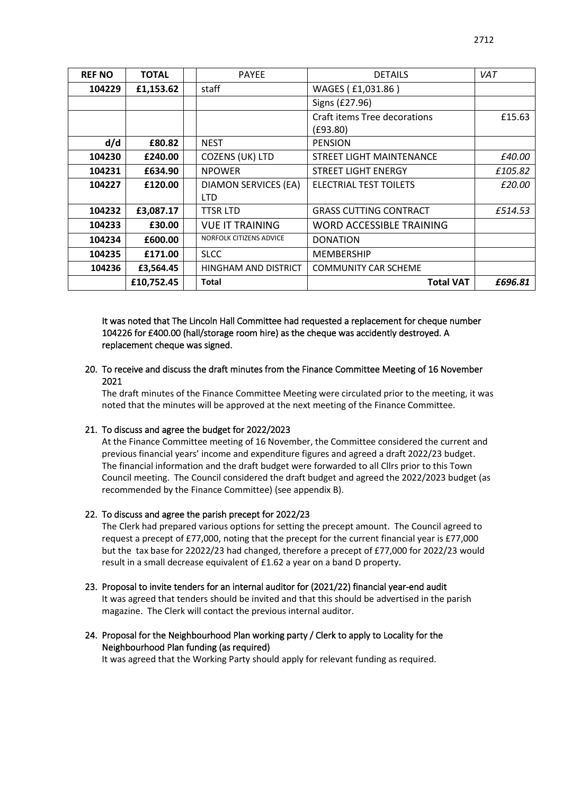| <b>REF NO</b> | <b>TOTAL</b> | <b>PAYEE</b>                              | <b>DETAILS</b>                           | <b>VAT</b> |
|---------------|--------------|-------------------------------------------|------------------------------------------|------------|
| 104229        | £1,153.62    | staff                                     | WAGES (£1,031.86)                        |            |
|               |              |                                           | Signs (£27.96)                           |            |
|               |              |                                           | Craft items Tree decorations<br>(E93.80) | £15.63     |
| d/d           | £80.82       | <b>NEST</b>                               | <b>PENSION</b>                           |            |
| 104230        | £240.00      | COZENS (UK) LTD                           | <b>STREET LIGHT MAINTENANCE</b>          | £40.00     |
| 104231        | £634.90      | <b>NPOWER</b>                             | <b>STREET LIGHT ENERGY</b>               | £105.82    |
| 104227        | £120.00      | <b>DIAMON SERVICES (EA)</b><br><b>LTD</b> | ELECTRIAL TEST TOILETS                   | £20.00     |
| 104232        | £3,087.17    | <b>TTSR LTD</b>                           | <b>GRASS CUTTING CONTRACT</b>            | £514.53    |
| 104233        | £30.00       | <b>VUE IT TRAINING</b>                    | WORD ACCESSIBLE TRAINING                 |            |
| 104234        | £600.00      | <b>NORFOLK CITIZENS ADVICE</b>            | <b>DONATION</b>                          |            |
| 104235        | £171.00      | <b>SLCC</b>                               | <b>MEMBERSHIP</b>                        |            |
| 104236        | £3,564.45    | HINGHAM AND DISTRICT                      | <b>COMMUNITY CAR SCHEME</b>              |            |
|               | £10,752.45   | Total                                     | <b>Total VAT</b>                         | £696.81    |

It was noted that The Lincoln Hall Committee had requested a replacement for cheque number 104226 for £400.00 (hall/storage room hire) as the cheque was accidently destroyed. A replacement cheque was signed.

20. To receive and discuss the draft minutes from the Finance Committee Meeting of 16 November 2021

The draft minutes of the Finance Committee Meeting were circulated prior to the meeting, it was noted that the minutes will be approved at the next meeting of the Finance Committee.

#### 21. To discuss and agree the budget for 2022/2023

At the Finance Committee meeting of 16 November, the Committee considered the current and previous financial years' income and expenditure figures and agreed a draft 2022/23 budget. The financial information and the draft budget were forwarded to all Cllrs prior to this Town Council meeting. The Council considered the draft budget and agreed the 2022/2023 budget (as recommended by the Finance Committee) (see appendix B).

#### 22. To discuss and agree the parish precept for 2022/23

The Clerk had prepared various options for setting the precept amount. The Council agreed to request a precept of £77,000, noting that the precept for the current financial year is £77,000 but the tax base for 22022/23 had changed, therefore a precept of £77,000 for 2022/23 would result in a small decrease equivalent of £1.62 a year on a band D property.

- 23. Proposal to invite tenders for an internal auditor for (2021/22) financial year-end audit It was agreed that tenders should be invited and that this should be advertised in the parish magazine. The Clerk will contact the previous internal auditor.
- 24. Proposal for the Neighbourhood Plan working party / Clerk to apply to Locality for the Neighbourhood Plan funding (as required)

It was agreed that the Working Party should apply for relevant funding as required.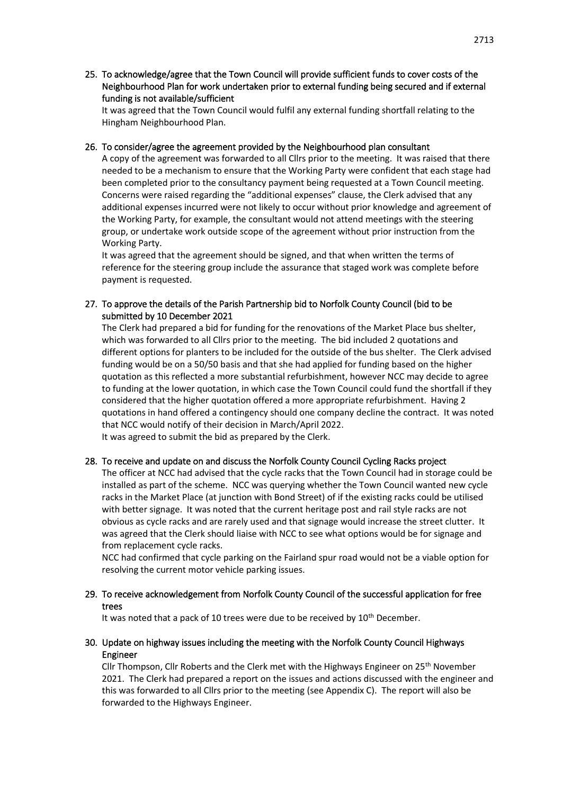25. To acknowledge/agree that the Town Council will provide sufficient funds to cover costs of the Neighbourhood Plan for work undertaken prior to external funding being secured and if external funding is not available/sufficient

It was agreed that the Town Council would fulfil any external funding shortfall relating to the Hingham Neighbourhood Plan.

#### 26. To consider/agree the agreement provided by the Neighbourhood plan consultant

A copy of the agreement was forwarded to all Cllrs prior to the meeting. It was raised that there needed to be a mechanism to ensure that the Working Party were confident that each stage had been completed prior to the consultancy payment being requested at a Town Council meeting. Concerns were raised regarding the "additional expenses" clause, the Clerk advised that any additional expenses incurred were not likely to occur without prior knowledge and agreement of the Working Party, for example, the consultant would not attend meetings with the steering group, or undertake work outside scope of the agreement without prior instruction from the Working Party.

It was agreed that the agreement should be signed, and that when written the terms of reference for the steering group include the assurance that staged work was complete before payment is requested.

#### 27. To approve the details of the Parish Partnership bid to Norfolk County Council (bid to be submitted by 10 December 2021

The Clerk had prepared a bid for funding for the renovations of the Market Place bus shelter, which was forwarded to all Cllrs prior to the meeting. The bid included 2 quotations and different options for planters to be included for the outside of the bus shelter. The Clerk advised funding would be on a 50/50 basis and that she had applied for funding based on the higher quotation as this reflected a more substantial refurbishment, however NCC may decide to agree to funding at the lower quotation, in which case the Town Council could fund the shortfall if they considered that the higher quotation offered a more appropriate refurbishment. Having 2 quotations in hand offered a contingency should one company decline the contract. It was noted that NCC would notify of their decision in March/April 2022.

It was agreed to submit the bid as prepared by the Clerk.

#### 28. To receive and update on and discuss the Norfolk County Council Cycling Racks project

The officer at NCC had advised that the cycle racks that the Town Council had in storage could be installed as part of the scheme. NCC was querying whether the Town Council wanted new cycle racks in the Market Place (at junction with Bond Street) of if the existing racks could be utilised with better signage. It was noted that the current heritage post and rail style racks are not obvious as cycle racks and are rarely used and that signage would increase the street clutter. It was agreed that the Clerk should liaise with NCC to see what options would be for signage and from replacement cycle racks.

NCC had confirmed that cycle parking on the Fairland spur road would not be a viable option for resolving the current motor vehicle parking issues.

#### 29. To receive acknowledgement from Norfolk County Council of the successful application for free trees

It was noted that a pack of 10 trees were due to be received by 10<sup>th</sup> December.

#### 30. Update on highway issues including the meeting with the Norfolk County Council Highways Engineer

Cllr Thompson, Cllr Roberts and the Clerk met with the Highways Engineer on  $25<sup>th</sup>$  November 2021. The Clerk had prepared a report on the issues and actions discussed with the engineer and this was forwarded to all Cllrs prior to the meeting (see Appendix C). The report will also be forwarded to the Highways Engineer.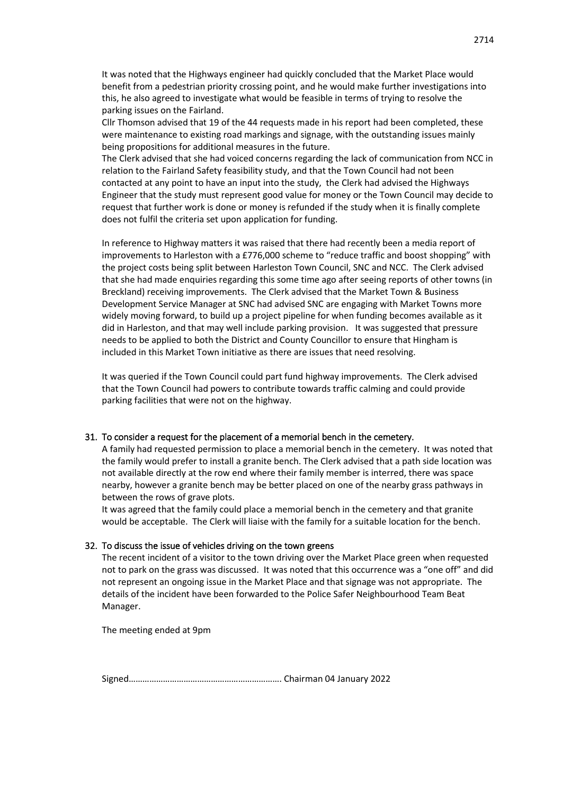It was noted that the Highways engineer had quickly concluded that the Market Place would benefit from a pedestrian priority crossing point, and he would make further investigations into this, he also agreed to investigate what would be feasible in terms of trying to resolve the parking issues on the Fairland.

Cllr Thomson advised that 19 of the 44 requests made in his report had been completed, these were maintenance to existing road markings and signage, with the outstanding issues mainly being propositions for additional measures in the future.

The Clerk advised that she had voiced concerns regarding the lack of communication from NCC in relation to the Fairland Safety feasibility study, and that the Town Council had not been contacted at any point to have an input into the study, the Clerk had advised the Highways Engineer that the study must represent good value for money or the Town Council may decide to request that further work is done or money is refunded if the study when it is finally complete does not fulfil the criteria set upon application for funding.

In reference to Highway matters it was raised that there had recently been a media report of improvements to Harleston with a £776,000 scheme to "reduce traffic and boost shopping" with the project costs being split between Harleston Town Council, SNC and NCC. The Clerk advised that she had made enquiries regarding this some time ago after seeing reports of other towns (in Breckland) receiving improvements. The Clerk advised that the Market Town & Business Development Service Manager at SNC had advised SNC are engaging with Market Towns more widely moving forward, to build up a project pipeline for when funding becomes available as it did in Harleston, and that may well include parking provision. It was suggested that pressure needs to be applied to both the District and County Councillor to ensure that Hingham is included in this Market Town initiative as there are issues that need resolving.

It was queried if the Town Council could part fund highway improvements. The Clerk advised that the Town Council had powers to contribute towards traffic calming and could provide parking facilities that were not on the highway.

#### 31. To consider a request for the placement of a memorial bench in the cemetery.

A family had requested permission to place a memorial bench in the cemetery. It was noted that the family would prefer to install a granite bench. The Clerk advised that a path side location was not available directly at the row end where their family member is interred, there was space nearby, however a granite bench may be better placed on one of the nearby grass pathways in between the rows of grave plots.

It was agreed that the family could place a memorial bench in the cemetery and that granite would be acceptable. The Clerk will liaise with the family for a suitable location for the bench.

#### 32. To discuss the issue of vehicles driving on the town greens

The recent incident of a visitor to the town driving over the Market Place green when requested not to park on the grass was discussed. It was noted that this occurrence was a "one off" and did not represent an ongoing issue in the Market Place and that signage was not appropriate. The details of the incident have been forwarded to the Police Safer Neighbourhood Team Beat Manager.

The meeting ended at 9pm

Signed…………………………………………………………. Chairman 04 January 2022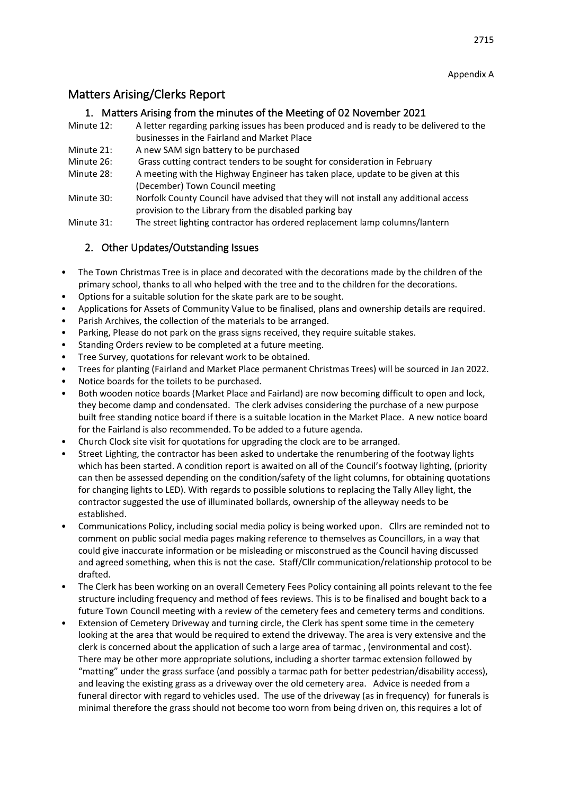Appendix A

# Matters Arising/Clerks Report

## 1. Matters Arising from the minutes of the Meeting of 02 November 2021

- Minute 12: A letter regarding parking issues has been produced and is ready to be delivered to the businesses in the Fairland and Market Place
- Minute 21: A new SAM sign battery to be purchased
- Minute 26: Grass cutting contract tenders to be sought for consideration in February
- Minute 28: A meeting with the Highway Engineer has taken place, update to be given at this (December) Town Council meeting
- Minute 30: Norfolk County Council have advised that they will not install any additional access provision to the Library from the disabled parking bay
- Minute 31: The street lighting contractor has ordered replacement lamp columns/lantern

## 2. Other Updates/Outstanding Issues

- The Town Christmas Tree is in place and decorated with the decorations made by the children of the primary school, thanks to all who helped with the tree and to the children for the decorations.
- Options for a suitable solution for the skate park are to be sought.
- Applications for Assets of Community Value to be finalised, plans and ownership details are required.
- Parish Archives, the collection of the materials to be arranged.
- Parking, Please do not park on the grass signs received, they require suitable stakes.
- Standing Orders review to be completed at a future meeting.
- Tree Survey, quotations for relevant work to be obtained.
- Trees for planting (Fairland and Market Place permanent Christmas Trees) will be sourced in Jan 2022.
- Notice boards for the toilets to be purchased.
- Both wooden notice boards (Market Place and Fairland) are now becoming difficult to open and lock, they become damp and condensated. The clerk advises considering the purchase of a new purpose built free standing notice board if there is a suitable location in the Market Place. A new notice board for the Fairland is also recommended. To be added to a future agenda.
- Church Clock site visit for quotations for upgrading the clock are to be arranged.
- Street Lighting, the contractor has been asked to undertake the renumbering of the footway lights which has been started. A condition report is awaited on all of the Council's footway lighting, (priority can then be assessed depending on the condition/safety of the light columns, for obtaining quotations for changing lights to LED). With regards to possible solutions to replacing the Tally Alley light, the contractor suggested the use of illuminated bollards, ownership of the alleyway needs to be established.
- Communications Policy, including social media policy is being worked upon. Cllrs are reminded not to comment on public social media pages making reference to themselves as Councillors, in a way that could give inaccurate information or be misleading or misconstrued as the Council having discussed and agreed something, when this is not the case. Staff/Cllr communication/relationship protocol to be drafted.
- The Clerk has been working on an overall Cemetery Fees Policy containing all points relevant to the fee structure including frequency and method of fees reviews. This is to be finalised and bought back to a future Town Council meeting with a review of the cemetery fees and cemetery terms and conditions.
- Extension of Cemetery Driveway and turning circle, the Clerk has spent some time in the cemetery looking at the area that would be required to extend the driveway. The area is very extensive and the clerk is concerned about the application of such a large area of tarmac , (environmental and cost). There may be other more appropriate solutions, including a shorter tarmac extension followed by "matting" under the grass surface (and possibly a tarmac path for better pedestrian/disability access), and leaving the existing grass as a driveway over the old cemetery area. Advice is needed from a funeral director with regard to vehicles used. The use of the driveway (as in frequency) for funerals is minimal therefore the grass should not become too worn from being driven on, this requires a lot of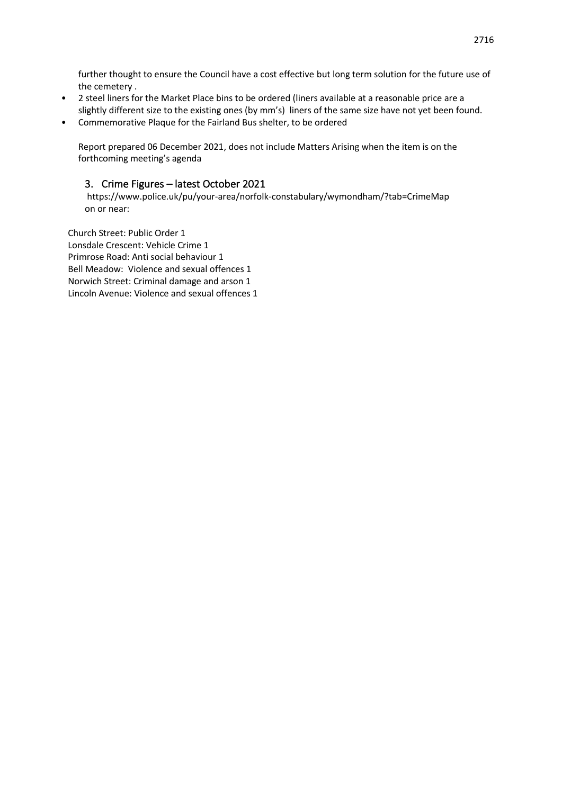further thought to ensure the Council have a cost effective but long term solution for the future use of the cemetery .

- 2 steel liners for the Market Place bins to be ordered (liners available at a reasonable price are a slightly different size to the existing ones (by mm's) liners of the same size have not yet been found.
- Commemorative Plaque for the Fairland Bus shelter, to be ordered

Report prepared 06 December 2021, does not include Matters Arising when the item is on the forthcoming meeting's agenda

## 3. Crime Figures – latest October 2021

https://www.police.uk/pu/your-area/norfolk-constabulary/wymondham/?tab=CrimeMap on or near:

Church Street: Public Order 1 Lonsdale Crescent: Vehicle Crime 1 Primrose Road: Anti social behaviour 1 Bell Meadow: Violence and sexual offences 1 Norwich Street: Criminal damage and arson 1 Lincoln Avenue: Violence and sexual offences 1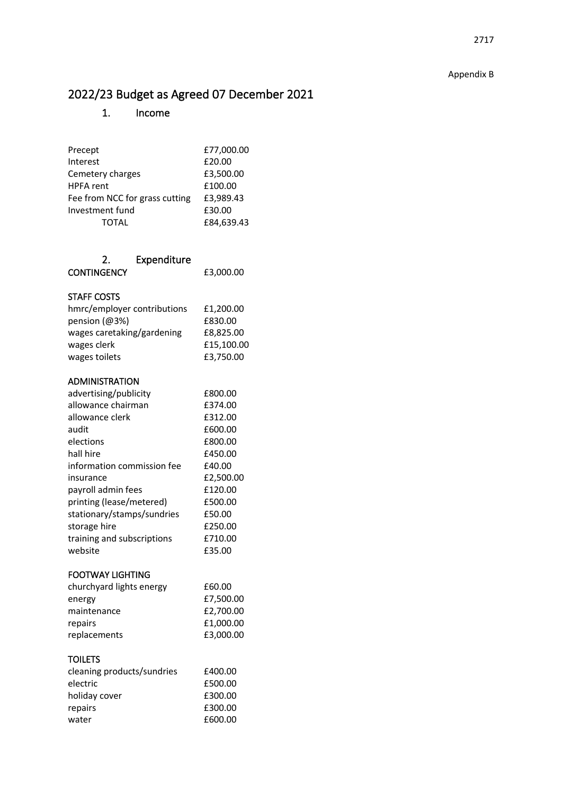# 2022/23 Budget as Agreed 07 December 2021

# 1. Income

| Precept<br>Interest<br>Cemetery charges<br>HPFA rent              | £77,000.00<br>£20.00<br>£3,500.00<br>£100.00 |
|-------------------------------------------------------------------|----------------------------------------------|
| Fee from NCC for grass cutting<br>Investment fund<br><b>TOTAL</b> | £3,989.43<br>£30.00<br>£84,639.43            |
| 2.<br>Expenditure<br><b>CONTINGENCY</b>                           | £3,000.00                                    |
| <b>STAFF COSTS</b>                                                |                                              |
| hmrc/employer contributions                                       | £1,200.00                                    |
| pension (@3%)                                                     | £830.00                                      |
| wages caretaking/gardening                                        | £8,825.00                                    |
| wages clerk                                                       | £15,100.00                                   |
| wages toilets                                                     | £3,750.00                                    |
| ADMINISTRATION                                                    |                                              |
| advertising/publicity                                             | £800.00                                      |
| allowance chairman                                                | £374.00                                      |
| allowance clerk                                                   | £312.00                                      |
| audit                                                             | £600.00                                      |
| elections                                                         | £800.00                                      |
| hall hire                                                         | £450.00                                      |
| information commission fee                                        | £40.00                                       |
| insurance                                                         | £2,500.00                                    |
| payroll admin fees                                                | £120.00                                      |
| printing (lease/metered)                                          | £500.00                                      |
| stationary/stamps/sundries                                        | £50.00                                       |
| storage hire                                                      | £250.00                                      |
| training and subscriptions                                        | £710.00                                      |
| website                                                           | £35.00                                       |
| <b>FOOTWAY LIGHTING</b>                                           |                                              |
| churchyard lights energy                                          | £60.00                                       |
| energy                                                            | £7,500.00                                    |
| maintenance                                                       | £2,700.00                                    |
| repairs                                                           | £1,000.00                                    |
| replacements                                                      | £3,000.00                                    |
| <b>TOILETS</b>                                                    |                                              |
| cleaning products/sundries                                        | £400.00                                      |
| electric                                                          | £500.00                                      |
| holiday cover                                                     | £300.00                                      |
| repairs                                                           | £300.00                                      |
| water                                                             | £600.00                                      |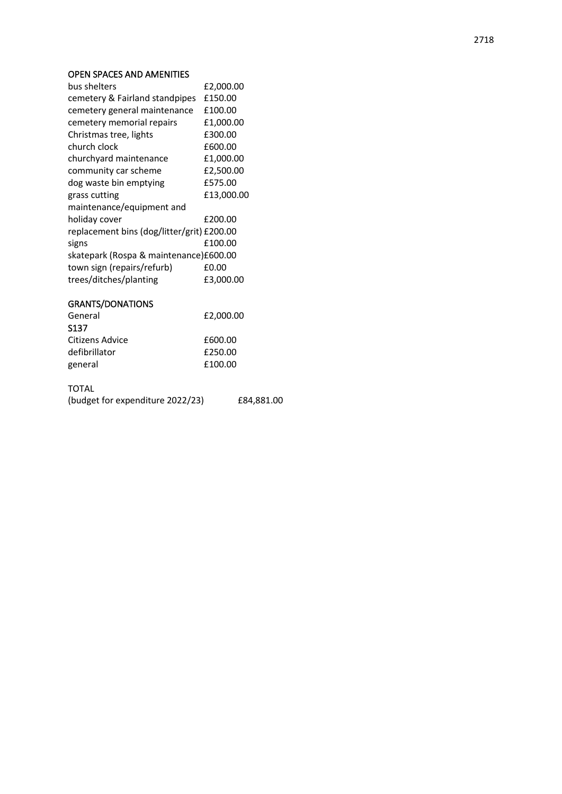#### OPEN SPACES AND AMENITIES

| bus shelters                               | £2,000.00  |
|--------------------------------------------|------------|
| cemetery & Fairland standpipes             | £150.00    |
| cemetery general maintenance               | £100.00    |
| cemetery memorial repairs                  | £1,000.00  |
| Christmas tree, lights                     | £300.00    |
| church clock                               | £600.00    |
| churchyard maintenance                     | £1,000.00  |
| community car scheme                       | £2,500.00  |
| dog waste bin emptying                     | £575.00    |
| grass cutting                              | £13,000.00 |
| maintenance/equipment and                  |            |
| holiday cover                              | £200.00    |
| replacement bins (dog/litter/grit) £200.00 |            |
| signs                                      | £100.00    |
| skatepark (Rospa & maintenance)£600.00     |            |
| town sign (repairs/refurb)                 | £0.00      |
| trees/ditches/planting                     | £3,000.00  |
|                                            |            |

## GRANTS/DONATIONS

| General         | £2,000.00 |  |
|-----------------|-----------|--|
| S137            |           |  |
| Citizens Advice | £600.00   |  |
| defibrillator   | £250.00   |  |
| general         | £100.00   |  |
|                 |           |  |

## TOTAL

| (budget for expenditure 2022/23) | £84,881.00 |
|----------------------------------|------------|
|                                  |            |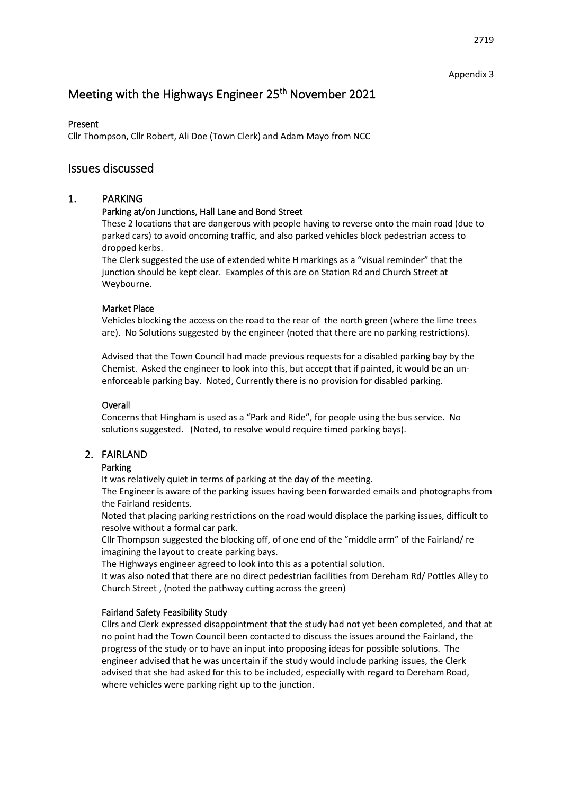#### Appendix 3

# Meeting with the Highways Engineer 25<sup>th</sup> November 2021

### Present

Cllr Thompson, Cllr Robert, Ali Doe (Town Clerk) and Adam Mayo from NCC

## Issues discussed

## 1. PARKING

## Parking at/on Junctions, Hall Lane and Bond Street

These 2 locations that are dangerous with people having to reverse onto the main road (due to parked cars) to avoid oncoming traffic, and also parked vehicles block pedestrian access to dropped kerbs.

The Clerk suggested the use of extended white H markings as a "visual reminder" that the junction should be kept clear. Examples of this are on Station Rd and Church Street at Weybourne.

### Market Place

Vehicles blocking the access on the road to the rear of the north green (where the lime trees are). No Solutions suggested by the engineer (noted that there are no parking restrictions).

Advised that the Town Council had made previous requests for a disabled parking bay by the Chemist. Asked the engineer to look into this, but accept that if painted, it would be an unenforceable parking bay. Noted, Currently there is no provision for disabled parking.

## **Overall**

Concerns that Hingham is used as a "Park and Ride", for people using the bus service. No solutions suggested. (Noted, to resolve would require timed parking bays).

## 2. FAIRLAND

## Parking

It was relatively quiet in terms of parking at the day of the meeting.

The Engineer is aware of the parking issues having been forwarded emails and photographs from the Fairland residents.

Noted that placing parking restrictions on the road would displace the parking issues, difficult to resolve without a formal car park.

Cllr Thompson suggested the blocking off, of one end of the "middle arm" of the Fairland/ re imagining the layout to create parking bays.

The Highways engineer agreed to look into this as a potential solution.

It was also noted that there are no direct pedestrian facilities from Dereham Rd/ Pottles Alley to Church Street , (noted the pathway cutting across the green)

## Fairland Safety Feasibility Study

Cllrs and Clerk expressed disappointment that the study had not yet been completed, and that at no point had the Town Council been contacted to discuss the issues around the Fairland, the progress of the study or to have an input into proposing ideas for possible solutions. The engineer advised that he was uncertain if the study would include parking issues, the Clerk advised that she had asked for this to be included, especially with regard to Dereham Road, where vehicles were parking right up to the junction.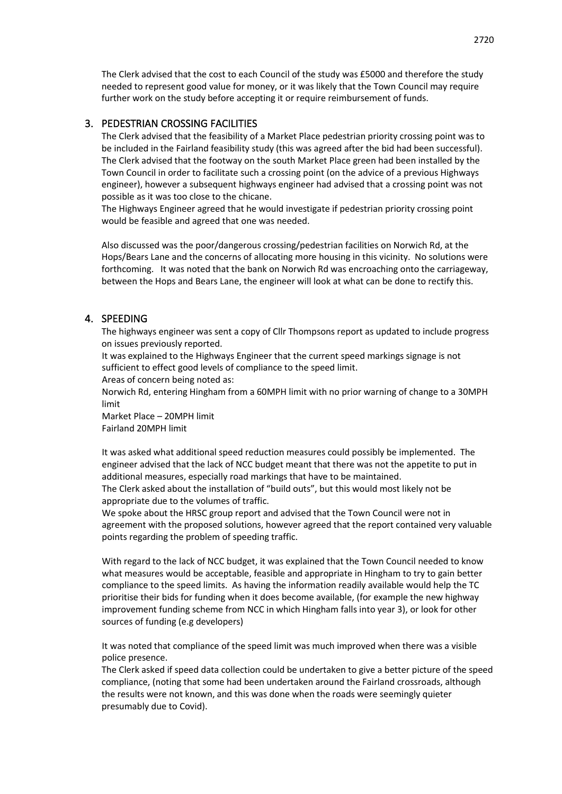The Clerk advised that the cost to each Council of the study was £5000 and therefore the study needed to represent good value for money, or it was likely that the Town Council may require further work on the study before accepting it or require reimbursement of funds.

### 3. PEDESTRIAN CROSSING FACILITIES

The Clerk advised that the feasibility of a Market Place pedestrian priority crossing point was to be included in the Fairland feasibility study (this was agreed after the bid had been successful). The Clerk advised that the footway on the south Market Place green had been installed by the Town Council in order to facilitate such a crossing point (on the advice of a previous Highways engineer), however a subsequent highways engineer had advised that a crossing point was not possible as it was too close to the chicane.

The Highways Engineer agreed that he would investigate if pedestrian priority crossing point would be feasible and agreed that one was needed.

Also discussed was the poor/dangerous crossing/pedestrian facilities on Norwich Rd, at the Hops/Bears Lane and the concerns of allocating more housing in this vicinity. No solutions were forthcoming. It was noted that the bank on Norwich Rd was encroaching onto the carriageway, between the Hops and Bears Lane, the engineer will look at what can be done to rectify this.

### 4. SPEEDING

The highways engineer was sent a copy of Cllr Thompsons report as updated to include progress on issues previously reported.

It was explained to the Highways Engineer that the current speed markings signage is not sufficient to effect good levels of compliance to the speed limit.

Areas of concern being noted as:

Norwich Rd, entering Hingham from a 60MPH limit with no prior warning of change to a 30MPH limit

Market Place – 20MPH limit Fairland 20MPH limit

It was asked what additional speed reduction measures could possibly be implemented. The engineer advised that the lack of NCC budget meant that there was not the appetite to put in additional measures, especially road markings that have to be maintained.

The Clerk asked about the installation of "build outs", but this would most likely not be appropriate due to the volumes of traffic.

We spoke about the HRSC group report and advised that the Town Council were not in agreement with the proposed solutions, however agreed that the report contained very valuable points regarding the problem of speeding traffic.

With regard to the lack of NCC budget, it was explained that the Town Council needed to know what measures would be acceptable, feasible and appropriate in Hingham to try to gain better compliance to the speed limits. As having the information readily available would help the TC prioritise their bids for funding when it does become available, (for example the new highway improvement funding scheme from NCC in which Hingham falls into year 3), or look for other sources of funding (e.g developers)

It was noted that compliance of the speed limit was much improved when there was a visible police presence.

The Clerk asked if speed data collection could be undertaken to give a better picture of the speed compliance, (noting that some had been undertaken around the Fairland crossroads, although the results were not known, and this was done when the roads were seemingly quieter presumably due to Covid).